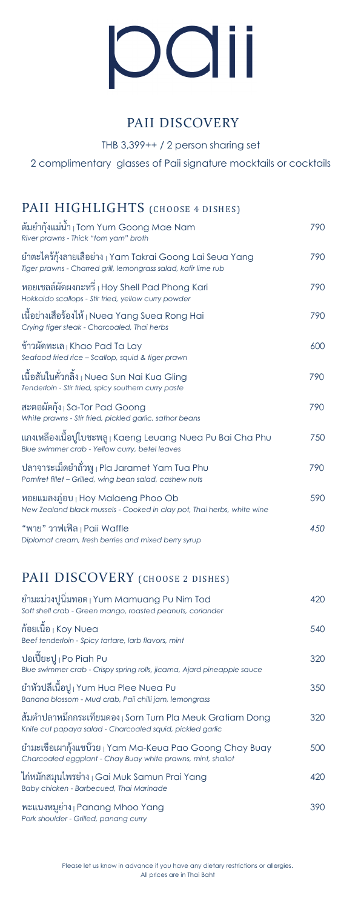# OCIII

# PAII DISCOVERY

THB 3,399++ / 2 person sharing set

2 complimentary glasses of Paii signature mocktails or cocktails

# PAII HIGHLIGHTS (CHOOSE 4 DISHES)

| ต์มย้ากุ้งแม่น้ำ <sub>I</sub> Tom Yum Goong Mae Nam<br>River prawns - Thick "tom yam" broth                                            | 790 |
|----------------------------------------------------------------------------------------------------------------------------------------|-----|
| ยำตะไคร้กุ้งลายเสื้อย่าง <sub>I</sub> Yam Takrai Goong Lai Seua Yang<br>Tiger prawns - Charred grill, lemongrass salad, kafir lime rub | 790 |
| หอยเชลล์ผัดผงกะหรื่ <sub>I</sub> Hoy Shell Pad Phong Kari<br>Hokkaido scallops - Stir fried, yellow curry powder                       | 790 |
| เนื้อย่างเสือร้องไห้ <sub> </sub> Nuea Yang Suea Rong Hai<br>Crying tiger steak - Charcoaled, Thai herbs                               | 790 |
| ข้าวผัดทะเล   Khao Pad Ta Lay<br>Seafood fried rice - Scallop, squid & tiger prawn                                                     | 600 |
| เนื้อสันในคั่วกลิ้ง <sub>I</sub> Nuea Sun Nai Kua Gling<br>Tenderloin - Stir fried, spicy southern curry paste                         | 790 |
| สะตอผัดกุ้ง Sa-Tor Pad Goong<br>White prawns - Stir fried, pickled garlic, sathor beans                                                | 790 |
| แกงเหลืองเนื้อปูใบชะพลู ¡ Kaeng Leuang Nuea Pu Bai Cha Phu<br>Blue swimmer crab - Yellow curry, betel leaves                           | 750 |
| ปลาจาระเม็ดยำถั่วพู <sub>I</sub> Pla Jaramet Yam Tua Phu<br>Pomfret fillet - Grilled, wing bean salad, cashew nuts                     | 790 |
| หอยแมลงภู่อบ   Hoy Malaeng Phoo Ob<br>New Zealand black mussels - Cooked in clay pot, Thai herbs, white wine                           | 590 |
| "พาย" วาฟเฟิล <sub>I</sub> Paii Waffle<br>Diplomat cream, fresh berries and mixed berry syrup                                          | 450 |
| PAII DISCOVERY (CHOOSE 2 DISHES)                                                                                                       |     |
| ยำมะม่วงปูนิ่มทอด   Yum Mamuang Pu Nim Tod<br>Soft shell crab - Green mango, roasted peanuts, coriander                                | 420 |
| ก์อยเนื้อ <sub> </sub> Koy Nuea<br>Beef tenderloin - Spicy tartare, larb flavors, mint                                                 | 540 |
| ปอเปี๊ยะปู <sub>I</sub> Po Piah Pu<br>Blue swimmer crab - Crispy spring rolls, jicama, Ajard pineapple sauce                           | 320 |
| ยำหัวปลีเนื้อปู <sub>l</sub> Yum Hua Plee Nuea Pu<br>Banana blossom - Mud crab, Paii chilli jam, lemongrass                            | 350 |
| ส้มตำปลาหมึกกระเทียมดอง Som Tum Pla Meuk Gratiam Dong<br>Knife cut papaya salad - Charcoaled squid, pickled garlic                     | 320 |
| ยำมะเขือเผากุ้งแชบ๊วย <sub> </sub> Yam Ma-Keua Pao Goong Chay Buay<br>Charcoaled eggplant - Chay Buay white prawns, mint, shallot      | 500 |

ไก่หมักสมุนไพรย่าง | Gai Muk Samun Prai Yang 420 *Baby chicken - Barbecued, Thai Marinade*

พะแนงหมูย่าง | Panang Mhoo Yang 390 *Pork shoulder - Grilled, panang curry*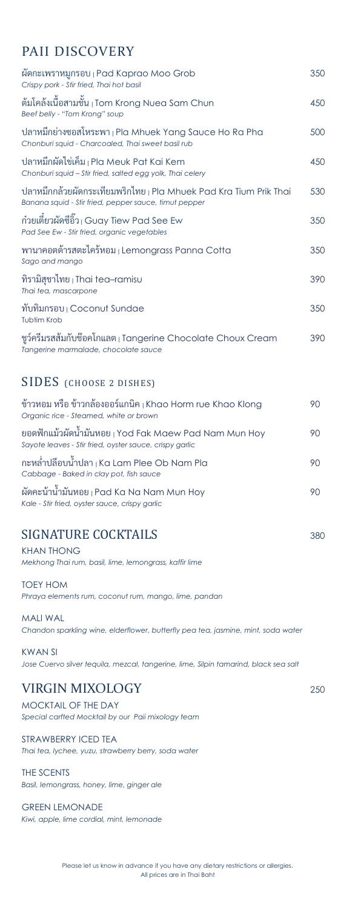# PAII DISCOVERY

| ผัดกะเพราหมูกรอบ <sub>l</sub> Pad Kaprao Moo Grob<br>Crispy pork - Stir fried, Thai hot basil                                         | 350 |
|---------------------------------------------------------------------------------------------------------------------------------------|-----|
| ต้มโคล้งเนื้อสามชั้น <sub>l</sub> Tom Krong Nuea Sam Chun<br>Beef belly - "Tom Krong" soup                                            | 450 |
| ปลาหมึกย่างซอสโหระพา   Pla Mhuek Yang Sauce Ho Ra Pha<br>Chonburi squid - Charcoaled, Thai sweet basil rub                            | 500 |
| ปลาหมึกผัดไข่เค็ม   Pla Meuk Pat Kai Kem<br>Chonburi squid - Stir fried, salted egg yolk, Thai celery                                 | 450 |
| ปลาหมึกกล้วยผัดกระเทียมพริกไทย <sub>I</sub> Pla Mhuek Pad Kra Tium Prik Thai<br>Banana squid - Stir fried, pepper sauce, timut pepper | 530 |
| ก๋วยเตี๋ยวผัดซีอิ๊ว <sub>I</sub> Guay Tiew Pad See Ew<br>Pad See Ew - Stir fried, organic vegetables                                  | 350 |
| พานาคอตต้ารสตะไคร้หอม Lemongrass Panna Cotta<br>Sago and mango                                                                        | 350 |
| ทิรามิสุชาไทย $\vert$ Thai tea–ramisu<br>Thai tea, mascarpone                                                                         | 390 |
| ทับทิมกรอบ <sub>1</sub> Coconut Sundae<br><b>Tubtim Krob</b>                                                                          | 350 |
| ชูว์ครีมรสส้มกับช๊อคโกแลต <sub>I</sub> Tangerine Chocolate Choux Cream<br>Tangerine marmalade, chocolate sauce                        | 390 |
| <b>SIDES</b> (CHOOSE 2 DISHES)                                                                                                        |     |
| ข้าวหอม หรือ ข้าวกล้องออร์แกนิค <sub>l</sub> Khao Horm rue Khao Klong<br>Organic rice - Steamed, white or brown                       | 90  |
| ยอดฟักแม้วผัดน้ำมันหอย <sub> </sub> Yod Fak Maew Pad Nam Mun Hoy<br>Sayote leaves - Stir fried, oyster sauce, crispy garlic           | 90  |
| กะหลำปลีอบนำปลา   Ka Lam Plee Ob Nam Pla<br>Cabbage - Baked in clay pot, fish sauce                                                   | 90  |
| ผัดคะน้าน้ำมันหอย <sub>I</sub> Pad Ka Na Nam Mun Hoy<br>Kale - Stir fried, oyster sauce, crispy garlic                                | 90  |

### SIGNATURE COCKTAILS 380

KHAN THONG *Mekhong Thai rum, basil, lime, lemongrass, kaffir lime* 

TOEY HOM *Phraya elements rum, coconut rum, mango, lime, pandan* 

MALI WAL *Chandon sparkling wine, elderflower, butterfly pea tea, jasmine, mint, soda water* 

KWAN SI Jose Cuervo silver tequila, mezcal, tangerine, lime, Silpin tamarind, black sea salt

## VIRGIN MIXOLOGY <sup>250</sup>

MOCKTAIL OF THE DAY *Special carfted Mocktail by our Paii mixology team*

STRAWBERRY ICED TEA *Thai tea, lychee, yuzu, strawberry berry, soda water* 

THE SCENTS *Basil, lemongrass, honey, lime, ginger ale* 

GREEN LEMONADE *Kiwi, apple, lime cordial, mint, lemonade*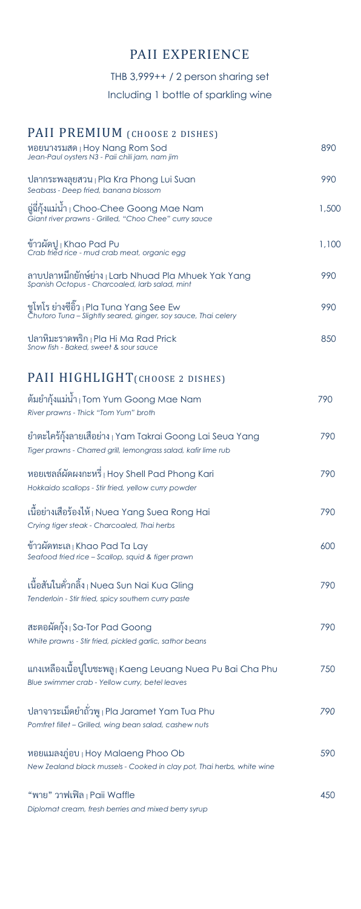# PAII EXPERIENCE

THB 3,999++ / 2 person sharing set

Including 1 bottle of sparkling wine

| PAII PREMIUM (CHOOSE 2 DISHES)<br>หอยนางรมสด ¡ Hoy Nang Rom Sod                                                                        | 890   |
|----------------------------------------------------------------------------------------------------------------------------------------|-------|
| Jean-Paul oysters N3 - Paii chili jam, nam jim                                                                                         |       |
| ปลากระพงลุยสวน   Pla Kra Phong Lui Suan<br>Seabass - Deep fried, banana blossom                                                        | 990   |
| ฉู่อี่กุ้งแม่น้ำ ⊦Choo-Chee Goong Mae Nam<br>Giant river prawns - Grilled, "Choo Chee" curry sauce                                     | 1,500 |
| ข้าวผัดปู <sub>I</sub> Khao Pad Pu<br>Crab fried rice - mud crab meat, organic egg                                                     | 1,100 |
| ลาบปลาหมึกยักษ์ย่าง <sub>I</sub> Larb Nhuad Pla Mhuek Yak Yang<br>Spanish Octopus - Charcoaled, larb salad, mint                       | 990   |
| ชูโทโร ย่างซีอิ๊ว <sub>l</sub> Pla Tuna Yang See Ew<br>Chutoro Tuna - Slightly seared, ginger, soy sauce, Thai celery                  | 990   |
| ปลาหิมะราดพริก <sub>I</sub> Pla Hi Ma Rad Prick<br>Snow fish - Baked, sweet & sour sauce                                               | 850   |
| PAII HIGHLIGHT (CHOOSE 2 DISHES)                                                                                                       |       |
| ต้มยำกุ้งแม่น้ำ   Tom Yum Goong Mae Nam<br>River prawns - Thick "Tom Yum" broth                                                        | 790   |
| ยำตะไคร้กุ้งลายเสื้อย่าง <sub>I</sub> Yam Takrai Goong Lai Seua Yang<br>Tiger prawns - Charred grill, lemongrass salad, kafir lime rub | 790   |
| หอยเชลล์ผัดผงกะหรื่   Hoy Shell Pad Phong Kari<br>Hokkaido scallops - Stir fried, yellow curry powder                                  | 790   |
| เนื้อย่างเสือร้องไห้ <sub> </sub> Nuea Yang Suea Rong Hai<br>Crying tiger steak - Charcoaled, Thai herbs                               | 790   |
| ข้าวผัดทะเล Khao Pad Ta Lay<br>Seafood fried rice - Scallop, squid & tiger prawn                                                       | 600   |
| เนื้อสันในคั่วกลิ้ง <sub>I</sub> Nuea Sun Nai Kua Gling<br>Tenderloin - Stir fried, spicy southern curry paste                         | 790   |
| สะตอผัดกุ้ง Sa-Tor Pad Goong<br>White prawns - Stir fried, pickled garlic, sathor beans                                                | 790   |
| แกงเหลืองเนื้อปูใบชะพลู   Kaeng Leuang Nuea Pu Bai Cha Phu<br>Blue swimmer crab - Yellow curry, betel leaves                           | 750   |
| ปลาจาระเม็ดยำถั่วพู <sub>I</sub> Pla Jaramet Yam Tua Phu<br>Pomfret fillet - Grilled, wing bean salad, cashew nuts                     | 790   |
| หอยแมลงภู่อบ   Hoy Malaeng Phoo Ob<br>New Zealand black mussels - Cooked in clay pot, Thai herbs, white wine                           | 590   |
| "พาย" วาฟเฟิล   Paii Waffle<br>Diplomat cream, fresh berries and mixed berry syrup                                                     | 450   |